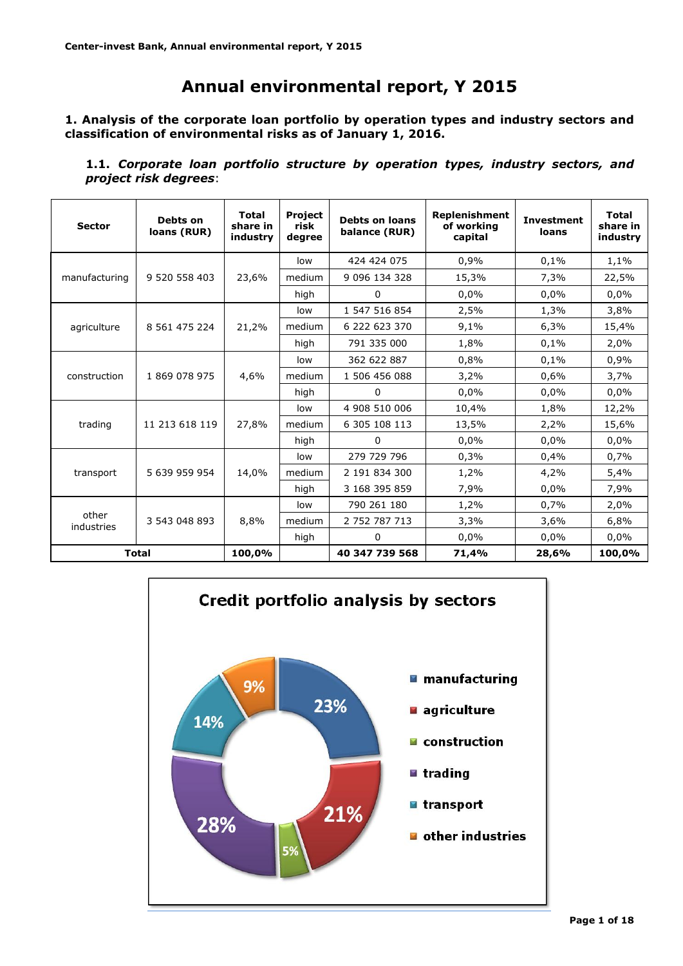# **Annual environmental report, Y 2015**

**1. Analysis of the corporate loan portfolio by operation types and industry sectors and classification of environmental risks as of January 1, 2016.**

**1.1.** *Corporate loan portfolio structure by operation types, industry sectors, and project risk degrees*:

| <b>Sector</b>       | Debts on<br>loans (RUR) | <b>Total</b><br>share in<br>industry | Project<br>risk<br>degree | <b>Debts on loans</b><br>balance (RUR) | Replenishment<br>of working<br>capital | <b>Investment</b><br>loans | <b>Total</b><br>share in<br>industry |
|---------------------|-------------------------|--------------------------------------|---------------------------|----------------------------------------|----------------------------------------|----------------------------|--------------------------------------|
|                     |                         |                                      | low                       | 424 424 075                            | 0,9%                                   | 0,1%                       | 1,1%                                 |
| manufacturing       | 9 520 558 403           | 23,6%                                | medium                    | 9 096 134 328                          | 15,3%                                  | 7,3%                       | 22,5%                                |
|                     |                         |                                      | high                      | 0                                      | 0,0%                                   | 0,0%                       | $0.0\%$                              |
|                     | 8 561 475 224           | 21,2%                                | low                       | 1 547 516 854                          | 2,5%                                   | 1,3%                       | 3,8%                                 |
| agriculture         |                         |                                      | medium                    | 6 222 623 370                          | 9,1%                                   | 6,3%                       | 15,4%                                |
|                     |                         |                                      | high                      | 791 335 000                            | 1,8%                                   | 0,1%                       | 2,0%                                 |
| construction        |                         | 4,6%                                 | low                       | 362 622 887                            | 0,8%                                   | 0,1%                       | 0,9%                                 |
|                     | 1 869 078 975           |                                      | medium                    | 1 506 456 088                          | 3,2%                                   | 0,6%                       | 3,7%                                 |
|                     |                         |                                      | high                      | 0                                      | 0.0%                                   | 0,0%                       | 0.0%                                 |
|                     | 11 213 618 119          | 27,8%                                | low                       | 4 908 510 006                          | 10,4%                                  | 1,8%                       | 12,2%                                |
| trading             |                         |                                      | medium                    | 6 305 108 113                          | 13,5%                                  | 2,2%                       | 15,6%                                |
|                     |                         |                                      | high                      | $\mathbf 0$                            | 0,0%                                   | 0,0%                       | $0.0\%$                              |
|                     |                         |                                      | low                       | 279 729 796                            | 0,3%                                   | 0,4%                       | 0,7%                                 |
| transport           | 5 639 959 954           | 14,0%                                | medium                    | 2 191 834 300                          | 1,2%                                   | 4,2%                       | 5,4%                                 |
|                     |                         |                                      | high                      | 3 168 395 859                          | 7,9%                                   | 0,0%                       | 7,9%                                 |
|                     |                         |                                      | low                       | 790 261 180                            | 1,2%                                   | 0,7%                       | 2,0%                                 |
| other<br>industries | 3 543 048 893           | 8,8%                                 | medium                    | 2 752 787 713                          | 3,3%                                   | 3,6%                       | 6,8%                                 |
|                     |                         |                                      | high                      | 0                                      | 0,0%                                   | 0,0%                       | 0,0%                                 |
|                     | <b>Total</b>            | 100.0%                               |                           | 40 347 739 568                         | 71,4%                                  | 28,6%                      | 100,0%                               |

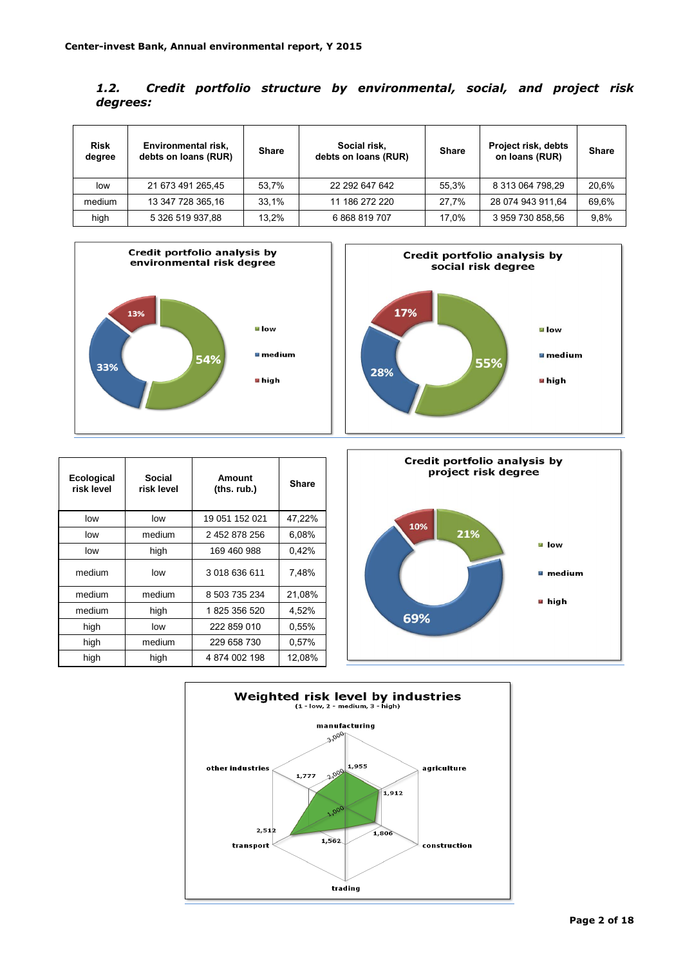| 1.2.     |  |  | Credit portfolio structure by environmental, social, and project risk |  |  |
|----------|--|--|-----------------------------------------------------------------------|--|--|
| degrees: |  |  |                                                                       |  |  |

| <b>Risk</b><br>degree | Environmental risk,<br>debts on loans (RUR) | <b>Share</b> | Social risk,<br>debts on loans (RUR) | <b>Share</b> | <b>Project risk, debts</b><br>on loans (RUR) | <b>Share</b> |
|-----------------------|---------------------------------------------|--------------|--------------------------------------|--------------|----------------------------------------------|--------------|
| low                   | 21 673 491 265,45                           | 53.7%        | 22 292 647 642                       | 55.3%        | 8 313 064 798.29                             | 20,6%        |
| medium                | 13 347 728 365 16                           | 33.1%        | 11 186 272 220                       | 27.7%        | 28 074 943 911.64                            | 69,6%        |
| high                  | 5 326 519 937.88                            | 13.2%        | 6868819707                           | 17.0%        | 3 959 730 858.56                             | 9.8%         |





| Ecological<br>risk level | Social<br>risk level | Amount<br>(ths. rub.) | <b>Share</b> |
|--------------------------|----------------------|-----------------------|--------------|
| low                      | low                  | 19 051 152 021        | 47,22%       |
| low                      | medium               | 2 452 878 256         | 6.08%        |
| low                      | high                 | 169 460 988           | 0,42%        |
| medium                   | low                  | 3 018 636 611         | 7,48%        |
| medium                   | medium               | 8 503 735 234         | 21,08%       |
| medium                   | high                 | 1825 356 520          | 4,52%        |
| high                     | low                  | 222 859 010           | 0,55%        |
| high                     | medium               | 229 658 730           | 0,57%        |
| high                     | high                 | 4874002198            | 12,08%       |



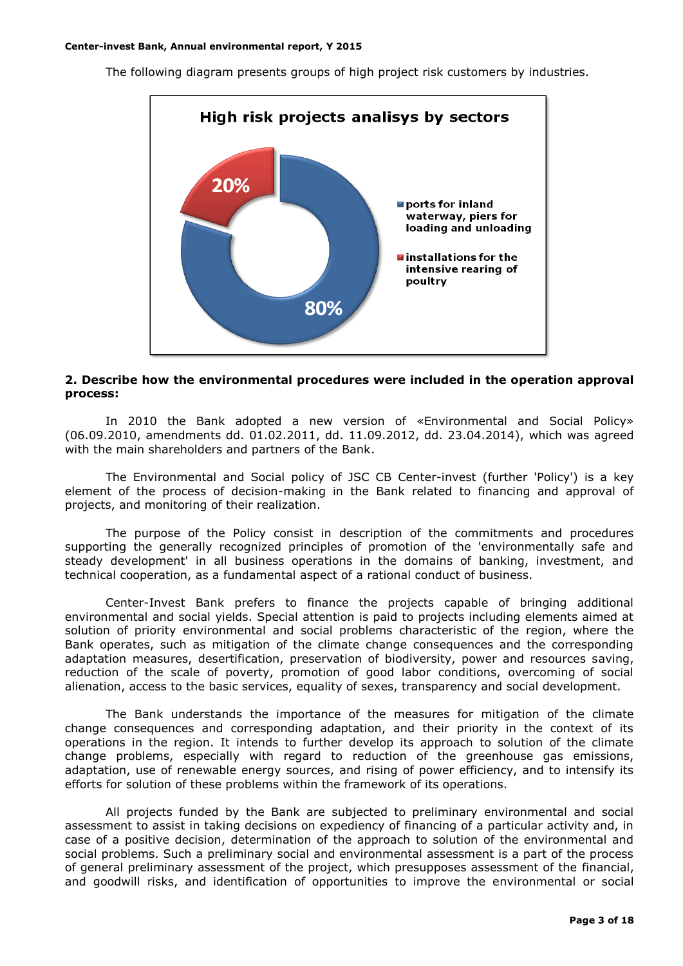The following diagram presents groups of high project risk customers by industries.



#### **2. Describe how the environmental procedures were included in the operation approval process:**

In 2010 the Bank adopted a new version of «Environmental and Social Policy» (06.09.2010, amendments dd. 01.02.2011, dd. 11.09.2012, dd. 23.04.2014), which was agreed with the main shareholders and partners of the Bank.

The Environmental and Social policy of JSC CB Center-invest (further 'Policy') is a key element of the process of decision-making in the Bank related to financing and approval of projects, and monitoring of their realization.

The purpose of the Policy consist in description of the commitments and procedures supporting the generally recognized principles of promotion of the 'environmentally safe and steady development' in all business operations in the domains of banking, investment, and technical cooperation, as a fundamental aspect of a rational conduct of business.

Center-Invest Bank prefers to finance the projects capable of bringing additional environmental and social yields. Special attention is paid to projects including elements aimed at solution of priority environmental and social problems characteristic of the region, where the Bank operates, such as mitigation of the climate change consequences and the corresponding adaptation measures, desertification, preservation of biodiversity, power and resources saving, reduction of the scale of poverty, promotion of good labor conditions, overcoming of social alienation, access to the basic services, equality of sexes, transparency and social development.

The Bank understands the importance of the measures for mitigation of the climate change consequences and corresponding adaptation, and their priority in the context of its operations in the region. It intends to further develop its approach to solution of the climate change problems, especially with regard to reduction of the greenhouse gas emissions, adaptation, use of renewable energy sources, and rising of power efficiency, and to intensify its efforts for solution of these problems within the framework of its operations.

All projects funded by the Bank are subjected to preliminary environmental and social assessment to assist in taking decisions on expediency of financing of a particular activity and, in case of a positive decision, determination of the approach to solution of the environmental and social problems. Such a preliminary social and environmental assessment is a part of the process of general preliminary assessment of the project, which presupposes assessment of the financial, and goodwill risks, and identification of opportunities to improve the environmental or social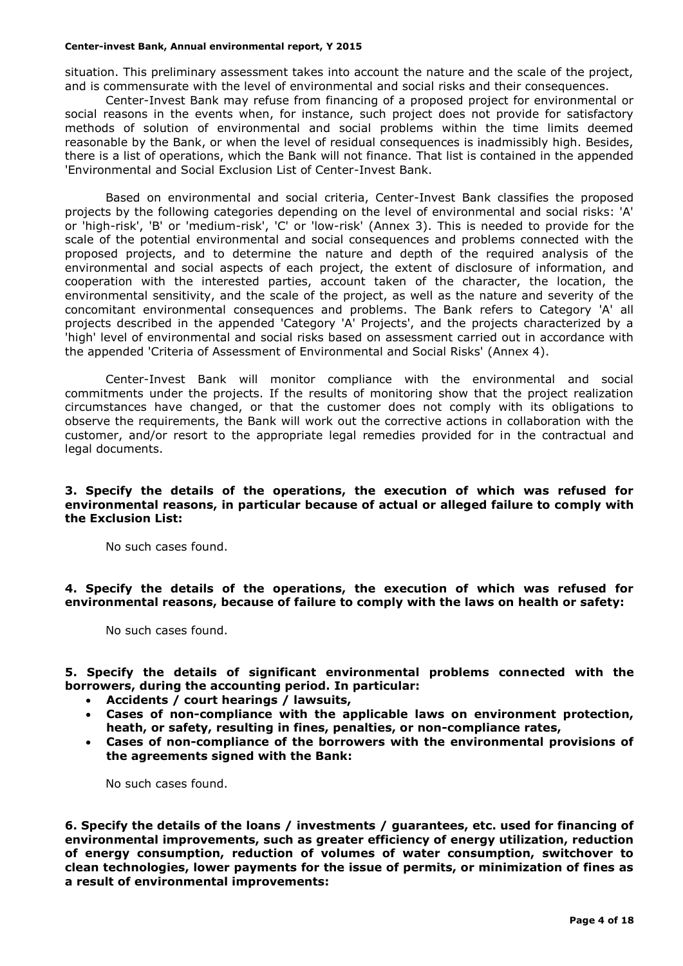situation. This preliminary assessment takes into account the nature and the scale of the project, and is commensurate with the level of environmental and social risks and their consequences.

Center-Invest Bank may refuse from financing of a proposed project for environmental or social reasons in the events when, for instance, such project does not provide for satisfactory methods of solution of environmental and social problems within the time limits deemed reasonable by the Bank, or when the level of residual consequences is inadmissibly high. Besides, there is a list of operations, which the Bank will not finance. That list is contained in the appended 'Environmental and Social Exclusion List of Center-Invest Bank.

Based on environmental and social criteria, Center-Invest Bank classifies the proposed projects by the following categories depending on the level of environmental and social risks: 'A' or 'high-risk', 'B' or 'medium-risk', 'C' or 'low-risk' (Annex 3). This is needed to provide for the scale of the potential environmental and social consequences and problems connected with the proposed projects, and to determine the nature and depth of the required analysis of the environmental and social aspects of each project, the extent of disclosure of information, and cooperation with the interested parties, account taken of the character, the location, the environmental sensitivity, and the scale of the project, as well as the nature and severity of the concomitant environmental consequences and problems. The Bank refers to Category 'A' all projects described in the appended 'Category 'A' Projects', and the projects characterized by a 'high' level of environmental and social risks based on assessment carried out in accordance with the appended 'Criteria of Assessment of Environmental and Social Risks' (Annex 4).

Center-Invest Bank will monitor compliance with the environmental and social commitments under the projects. If the results of monitoring show that the project realization circumstances have changed, or that the customer does not comply with its obligations to observe the requirements, the Bank will work out the corrective actions in collaboration with the customer, and/or resort to the appropriate legal remedies provided for in the contractual and legal documents.

#### **3. Specify the details of the operations, the execution of which was refused for environmental reasons, in particular because of actual or alleged failure to comply with the Exclusion List:**

No such cases found.

**4. Specify the details of the operations, the execution of which was refused for environmental reasons, because of failure to comply with the laws on health or safety:**

No such cases found.

**5. Specify the details of significant environmental problems connected with the borrowers, during the accounting period. In particular:**

- **Accidents / court hearings / lawsuits,**
- **Cases of non-compliance with the applicable laws on environment protection, heath, or safety, resulting in fines, penalties, or non-compliance rates,**
- **Cases of non-compliance of the borrowers with the environmental provisions of the agreements signed with the Bank:**

No such cases found.

**6. Specify the details of the loans / investments / guarantees, etc. used for financing of environmental improvements, such as greater efficiency of energy utilization, reduction of energy consumption, reduction of volumes of water consumption, switchover to clean technologies, lower payments for the issue of permits, or minimization of fines as a result of environmental improvements:**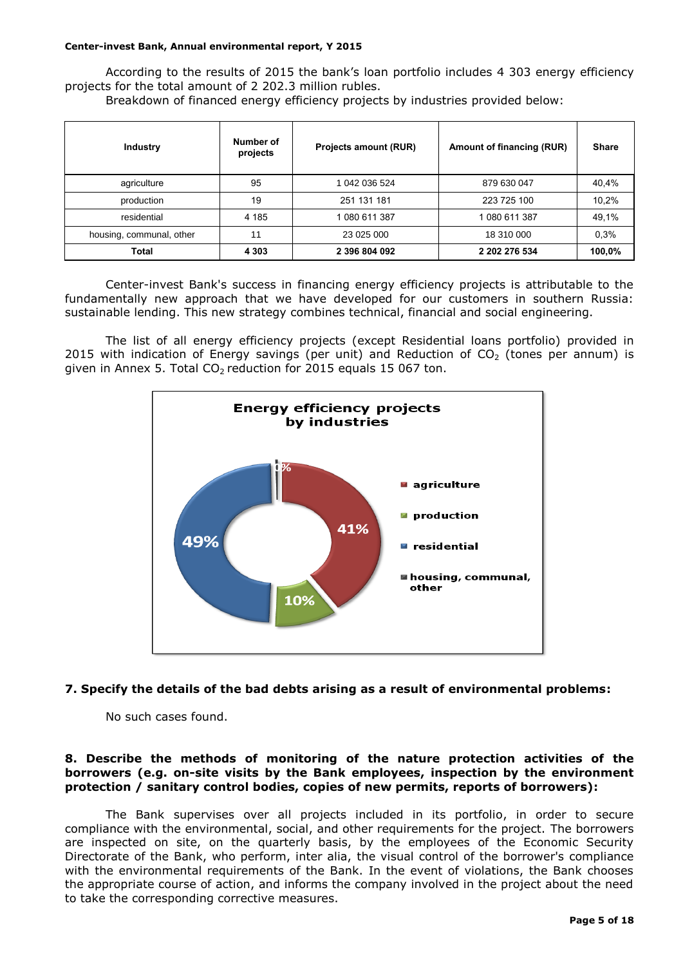According to the results of 2015 the bank's loan portfolio includes 4 303 energy efficiency projects for the total amount of 2 202.3 million rubles.

Breakdown of financed energy efficiency projects by industries provided below:

| <b>Industry</b>          | Number of<br>projects | Projects amount (RUR) | Amount of financing (RUR) | <b>Share</b> |
|--------------------------|-----------------------|-----------------------|---------------------------|--------------|
| agriculture              | 95                    | 1 042 036 524         | 879 630 047               | 40,4%        |
| production               | 19                    | 251 131 181           | 223 725 100               | 10,2%        |
| residential              | 4 185                 | 1080 611 387          | 1080 611 387              | 49,1%        |
| housing, communal, other | 11                    | 23 025 000            | 18 310 000                | 0.3%         |
| <b>Total</b>             | 4 3 0 3               | 2 396 804 092         | 2 202 276 534             | 100,0%       |

Center-invest Bank's success in financing energy efficiency projects is attributable to the fundamentally new approach that we have developed for our customers in southern Russia: sustainable lending. This new strategy combines technical, financial and social engineering.

The list of all energy efficiency projects (except Residential loans portfolio) provided in 2015 with indication of Energy savings (per unit) and Reduction of  $CO<sub>2</sub>$  (tones per annum) is given in Annex 5. Total  $CO<sub>2</sub>$  reduction for 2015 equals 15 067 ton.



#### **7. Specify the details of the bad debts arising as a result of environmental problems:**

No such cases found.

#### **8. Describe the methods of monitoring of the nature protection activities of the borrowers (e.g. on-site visits by the Bank employees, inspection by the environment protection / sanitary control bodies, copies of new permits, reports of borrowers):**

The Bank supervises over all projects included in its portfolio, in order to secure compliance with the environmental, social, and other requirements for the project. The borrowers are inspected on site, on the quarterly basis, by the employees of the Economic Security Directorate of the Bank, who perform, inter alia, the visual control of the borrower's compliance with the environmental requirements of the Bank. In the event of violations, the Bank chooses the appropriate course of action, and informs the company involved in the project about the need to take the corresponding corrective measures.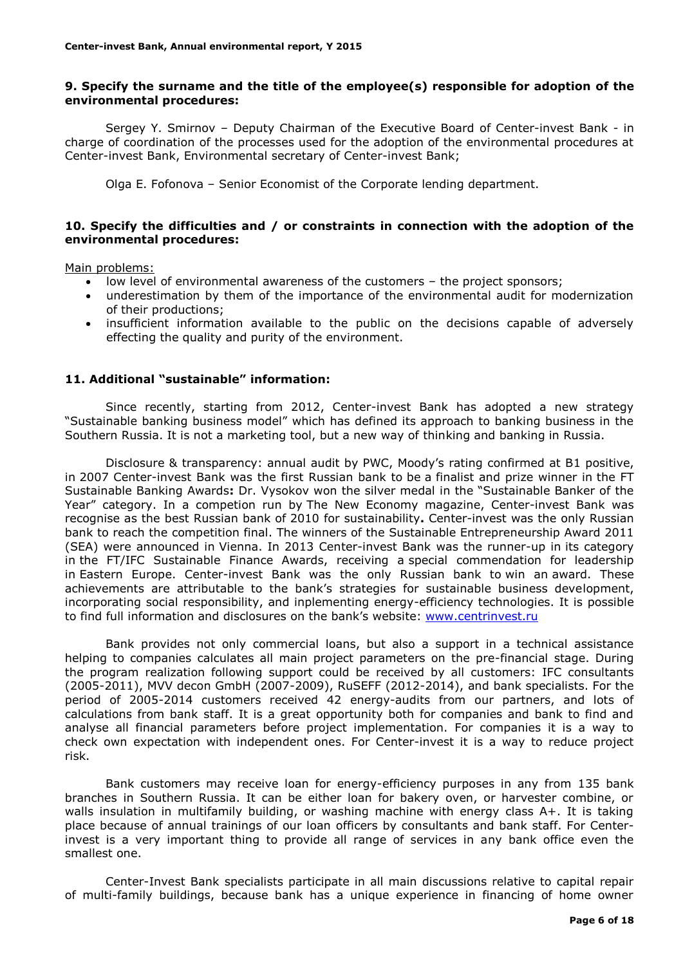#### **9. Specify the surname and the title of the employee(s) responsible for adoption of the environmental procedures:**

Sergey Y. Smirnov – Deputy Chairman of the Executive Board of Center-invest Bank - in charge of coordination of the processes used for the adoption of the environmental procedures at Center-invest Bank, Environmental secretary of Center-invest Bank;

Olga E. Fofonova – Senior Economist of the Corporate lending department.

### **10. Specify the difficulties and / or constraints in connection with the adoption of the environmental procedures:**

Main problems:

- low level of environmental awareness of the customers the project sponsors;
- underestimation by them of the importance of the environmental audit for modernization of their productions;
- insufficient information available to the public on the decisions capable of adversely effecting the quality and purity of the environment.

#### **11. Additional "sustainable" information:**

Since recently, starting from 2012, Center-invest Bank has adopted a new strategy "Sustainable banking business model" which has defined its approach to banking business in the Southern Russia. It is not a marketing tool, but a new way of thinking and banking in Russia.

Disclosure & transparency: annual audit by PWC, Moody's rating confirmed at B1 positive, in 2007 Center-invest Bank was the first Russian bank to be a finalist and prize winner in the FT Sustainable Banking Awards**:** Dr. Vysokov won the silver medal in the "Sustainable Banker of the Year" category. In a competion run by The New Economy magazine, Center-invest Bank was recognise as the best Russian bank of 2010 for sustainability**.** Center-invest was the only Russian bank to reach the competition final. The winners of the Sustainable Entrepreneurship Award 2011 (SEA) were announced in Vienna. In 2013 Center-invest Bank was the runner-up in its category in the FT/IFC Sustainable Finance Awards, receiving a special commendation for leadership in Eastern Europe. Center-invest Bank was the only Russian bank to win an award. These achievements are attributable to the bank's strategies for sustainable business development, incorporating social responsibility, and inplementing energy-efficiency technologies. It is possible to find full information and disclosures on the bank's website: [www.centrinvest.ru](http://www.centrinvest.ru/)

Bank provides not only commercial loans, but also a support in a technical assistance helping to companies calculates all main project parameters on the pre-financial stage. During the program realization following support could be received by all customers: IFC consultants (2005-2011), MVV decon GmbH (2007-2009), RuSEFF (2012-2014), and bank specialists. For the period of 2005-2014 customers received 42 energy-audits from our partners, and lots of calculations from bank staff. It is a great opportunity both for companies and bank to find and analyse all financial parameters before project implementation. For companies it is a way to check own expectation with independent ones. For Center-invest it is a way to reduce project risk.

Bank customers may receive loan for energy-efficiency purposes in any from 135 bank branches in Southern Russia. It can be either loan for bakery oven, or harvester combine, or walls insulation in multifamily building, or washing machine with energy class A+. It is taking place because of annual trainings of our loan officers by consultants and bank staff. For Centerinvest is a very important thing to provide all range of services in any bank office even the smallest one.

Center-Invest Bank specialists participate in all main discussions relative to capital repair of multi-family buildings, because bank has a unique experience in financing of home owner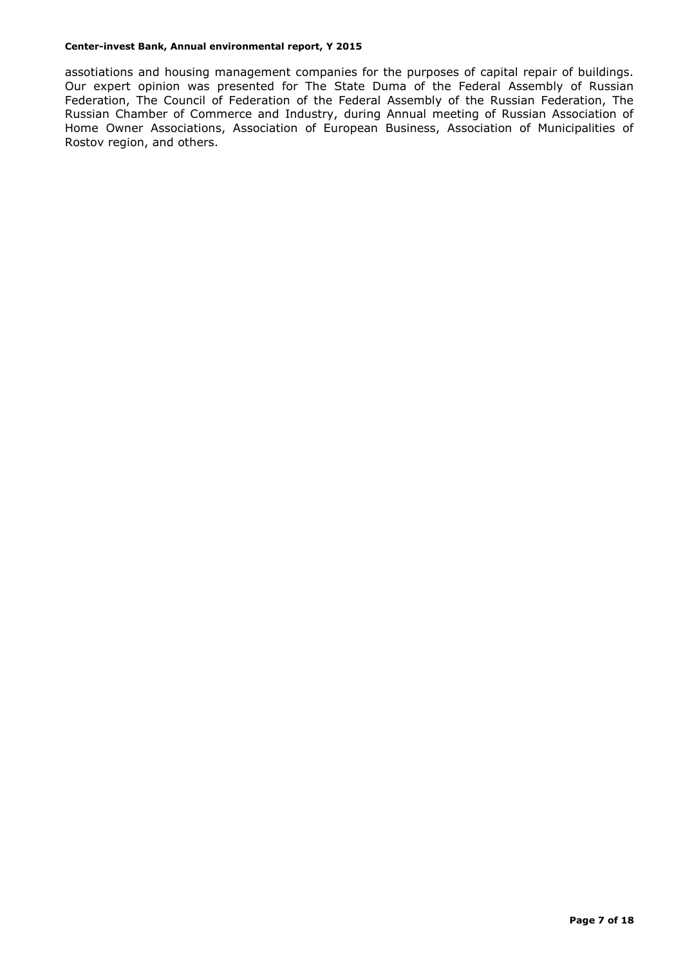assotiations and housing management companies for the purposes of capital repair of buildings. Our expert opinion was presented for The State Duma of the Federal Assembly of Russian Federation, The Council of Federation of the Federal Assembly of the Russian Federation, The Russian Chamber of Commerce and Industry, during Annual meeting of Russian Association of Home Owner Associations, Association of European Business, Association of Municipalities of Rostov region, and others.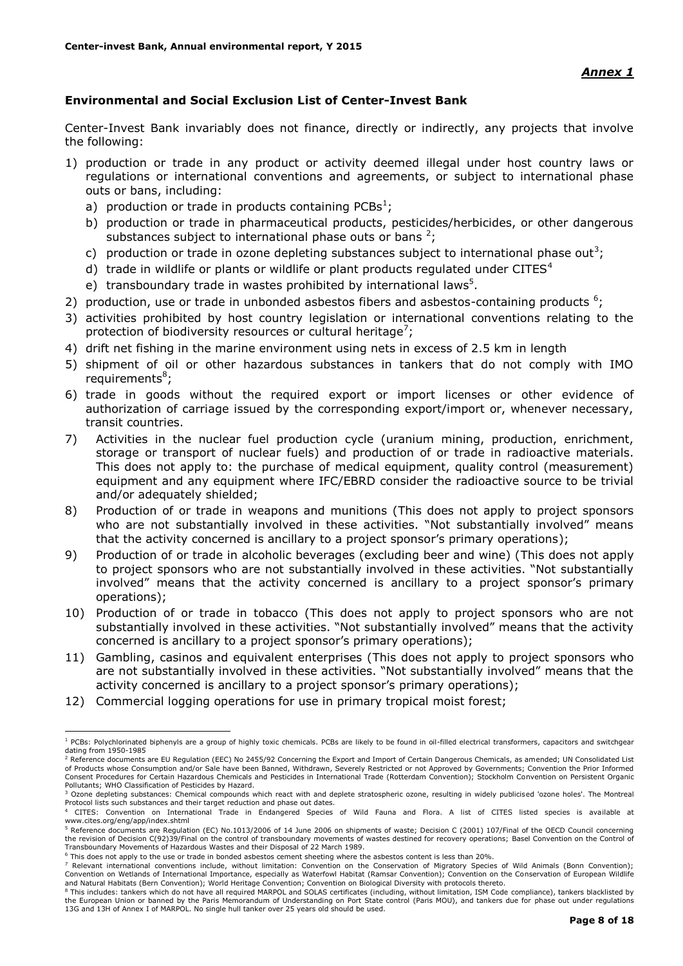### **Environmental and Social Exclusion List of Center-Invest Bank**

Center-Invest Bank invariably does not finance, directly or indirectly, any projects that involve the following:

- 1) production or trade in any product or activity deemed illegal under host country laws or regulations or international conventions and agreements, or subject to international phase outs or bans, including:
	- a) production or trade in products containing PCBs<sup>1</sup>;
	- b) production or trade in pharmaceutical products, pesticides/herbicides, or other dangerous substances subject to international phase outs or bans  $2$ ;
	- c) production or trade in ozone depleting substances subject to international phase out<sup>3</sup>;
	- d) trade in wildlife or plants or wildlife or plant products regulated under CITES $4$
	- e) transboundary trade in wastes prohibited by international laws<sup>5</sup>.
- 2) production, use or trade in unbonded asbestos fibers and asbestos-containing products  $6$ ;
- 3) activities prohibited by host country legislation or international conventions relating to the protection of biodiversity resources or cultural heritage<sup>7</sup>;
- 4) drift net fishing in the marine environment using nets in excess of 2.5 km in length
- 5) shipment of oil or other hazardous substances in tankers that do not comply with IMO requirements<sup>8</sup>;
- 6) trade in goods without the required export or import licenses or other evidence of authorization of carriage issued by the corresponding export/import or, whenever necessary, transit countries.
- 7) Activities in the nuclear fuel production cycle (uranium mining, production, enrichment, storage or transport of nuclear fuels) and production of or trade in radioactive materials. This does not apply to: the purchase of medical equipment, quality control (measurement) equipment and any equipment where IFC/EBRD consider the radioactive source to be trivial and/or adequately shielded;
- 8) Production of or trade in weapons and munitions (This does not apply to project sponsors who are not substantially involved in these activities. "Not substantially involved" means that the activity concerned is ancillary to a project sponsor's primary operations);
- 9) Production of or trade in alcoholic beverages (excluding beer and wine) (This does not apply to project sponsors who are not substantially involved in these activities. "Not substantially involved" means that the activity concerned is ancillary to a project sponsor's primary operations);
- 10) Production of or trade in tobacco (This does not apply to project sponsors who are not substantially involved in these activities. "Not substantially involved" means that the activity concerned is ancillary to a project sponsor's primary operations);
- 11) Gambling, casinos and equivalent enterprises (This does not apply to project sponsors who are not substantially involved in these activities. "Not substantially involved" means that the activity concerned is ancillary to a project sponsor's primary operations);
- 12) Commercial logging operations for use in primary tropical moist forest;

1

<sup>&</sup>lt;sup>1</sup> PCBs: Polychlorinated biphenyls are a group of highly toxic chemicals. PCBs are likely to be found in oil-filled electrical transformers, capacitors and switchgear dating from 1950-1985

<sup>&</sup>lt;sup>2</sup> Reference documents are EU Regulation (EEC) No 2455/92 Concerning the Export and Import of Certain Dangerous Chemicals, as amended; UN Consolidated List of Products whose Consumption and/or Sale have been Banned, Withdrawn, Severely Restricted or not Approved by Governments; Convention the Prior Informed<br>Consent Procedures for Certain Hazardous Chemicals and Pesticides in Pollutants; WHO Classification of Pesticides by Hazard.

<sup>&</sup>lt;sup>3</sup> Ozone depleting substances: Chemical compounds which react with and deplete stratospheric ozone, resulting in widely publicised 'ozone holes'. The Montreal Protocol lists such substances and their target reduction and phase out dates.

<sup>4</sup> CITES: Convention on International Trade in Endangered Species of Wild Fauna and Flora. A list of CITES listed species is available at www.cites.org/eng/app/index.shtml

<sup>5</sup> Reference documents are Regulation (EC) No.1013/2006 of 14 June 2006 on shipments of waste; Decision C (2001) 107/Final of the OECD Council concerning the revision of Decision C(92)39/Final on the control of transboundary movements of wastes destined for recovery operations; Basel Convention on the Control of<br>Transboundary Movements of Hazardous Wastes and their Disposal

<sup>6</sup> This does not apply to the use or trade in bonded asbestos cement sheeting where the asbestos content is less than 20%.

This does not deprived the doe of clube in bonded deserver entering the conservation of Migratory Species of Wild Animals (Bonn Convention); Convention on Wetlands of International Importance, especially as Waterfowl Habitat (Ramsar Convention); Convention on the Conservation of European Wildlife and Natural Habitats (Bern Convention); World Heritage Convention; Convention on Biological Diversity with protocols thereto.

<sup>&</sup>lt;sup>8</sup> This includes: tankers which do not have all required MARPOL and SOLAS certificates (including, without limitation, ISM Code compliance), tankers blacklisted by the European Union or banned by the Paris Memorandum of Understanding on Port State control (Paris MOU), and tankers due for phase out under regulations 13G and 13H of Annex I of MARPOL. No single hull tanker over 25 years old should be used.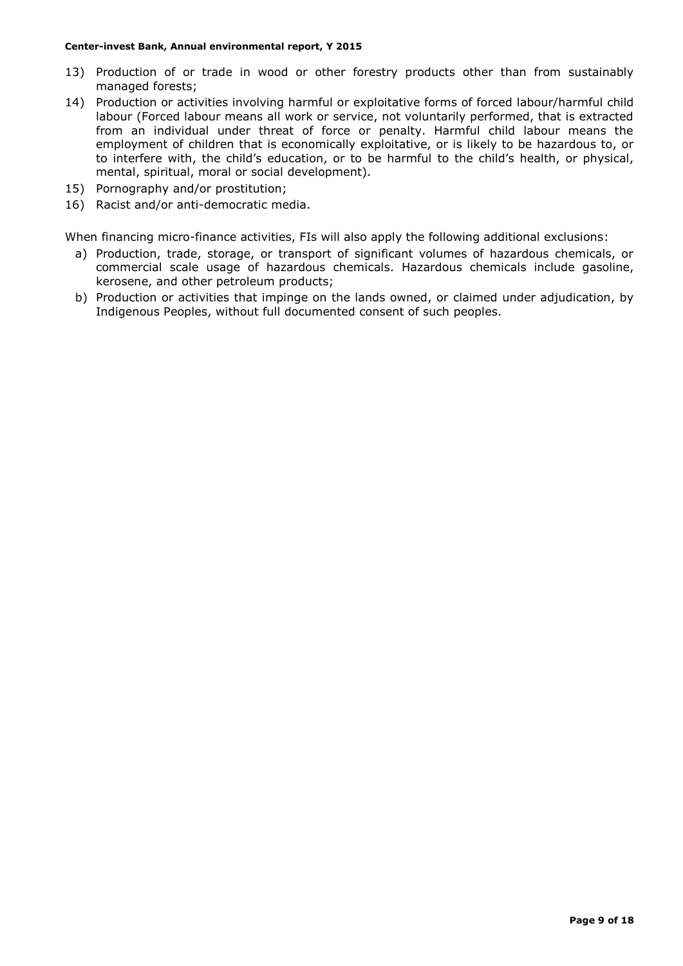- 13) Production of or trade in wood or other forestry products other than from sustainably managed forests;
- 14) Production or activities involving harmful or exploitative forms of forced labour/harmful child labour (Forced labour means all work or service, not voluntarily performed, that is extracted from an individual under threat of force or penalty. Harmful child labour means the employment of children that is economically exploitative, or is likely to be hazardous to, or to interfere with, the child's education, or to be harmful to the child's health, or physical, mental, spiritual, moral or social development).
- 15) Pornography and/or prostitution;
- 16) Racist and/or anti-democratic media.

When financing micro-finance activities, FIs will also apply the following additional exclusions:

- a) Production, trade, storage, or transport of significant volumes of hazardous chemicals, or commercial scale usage of hazardous chemicals. Hazardous chemicals include gasoline, kerosene, and other petroleum products;
- b) Production or activities that impinge on the lands owned, or claimed under adjudication, by Indigenous Peoples, without full documented consent of such peoples.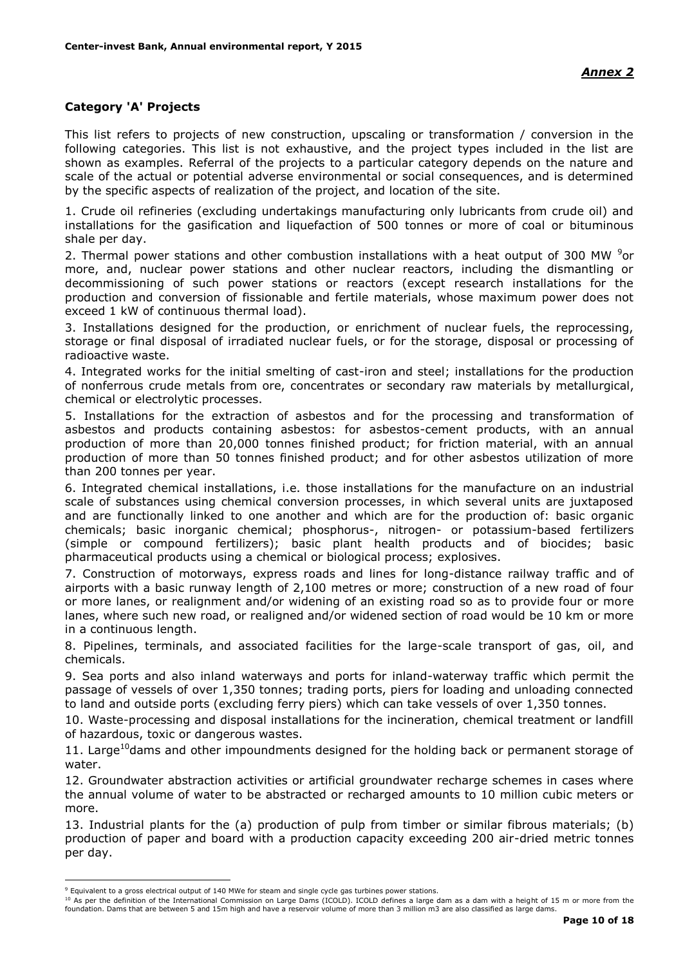### **Category 'A' Projects**

This list refers to projects of new construction, upscaling or transformation / conversion in the following categories. This list is not exhaustive, and the project types included in the list are shown as examples. Referral of the projects to a particular category depends on the nature and scale of the actual or potential adverse environmental or social consequences, and is determined by the specific aspects of realization of the project, and location of the site.

1. Crude oil refineries (excluding undertakings manufacturing only lubricants from crude oil) and installations for the gasification and liquefaction of 500 tonnes or more of coal or bituminous shale per day.

2. Thermal power stations and other combustion installations with a heat output of 300 MW  $9$ or more, and, nuclear power stations and other nuclear reactors, including the dismantling or decommissioning of such power stations or reactors (except research installations for the production and conversion of fissionable and fertile materials, whose maximum power does not exceed 1 kW of continuous thermal load).

3. Installations designed for the production, or enrichment of nuclear fuels, the reprocessing, storage or final disposal of irradiated nuclear fuels, or for the storage, disposal or processing of radioactive waste.

4. Integrated works for the initial smelting of cast-iron and steel; installations for the production of nonferrous crude metals from ore, concentrates or secondary raw materials by metallurgical, chemical or electrolytic processes.

5. Installations for the extraction of asbestos and for the processing and transformation of asbestos and products containing asbestos: for asbestos-cement products, with an annual production of more than 20,000 tonnes finished product; for friction material, with an annual production of more than 50 tonnes finished product; and for other asbestos utilization of more than 200 tonnes per year.

6. Integrated chemical installations, i.e. those installations for the manufacture on an industrial scale of substances using chemical conversion processes, in which several units are juxtaposed and are functionally linked to one another and which are for the production of: basic organic chemicals; basic inorganic chemical; phosphorus-, nitrogen- or potassium-based fertilizers (simple or compound fertilizers); basic plant health products and of biocides; basic pharmaceutical products using a chemical or biological process; explosives.

7. Construction of motorways, express roads and lines for long-distance railway traffic and of airports with a basic runway length of 2,100 metres or more; construction of a new road of four or more lanes, or realignment and/or widening of an existing road so as to provide four or more lanes, where such new road, or realigned and/or widened section of road would be 10 km or more in a continuous length.

8. Pipelines, terminals, and associated facilities for the large-scale transport of gas, oil, and chemicals.

9. Sea ports and also inland waterways and ports for inland-waterway traffic which permit the passage of vessels of over 1,350 tonnes; trading ports, piers for loading and unloading connected to land and outside ports (excluding ferry piers) which can take vessels of over 1,350 tonnes.

10. Waste-processing and disposal installations for the incineration, chemical treatment or landfill of hazardous, toxic or dangerous wastes.

11. Large<sup>10</sup>dams and other impoundments designed for the holding back or permanent storage of water.

12. Groundwater abstraction activities or artificial groundwater recharge schemes in cases where the annual volume of water to be abstracted or recharged amounts to 10 million cubic meters or more.

13. Industrial plants for the (a) production of pulp from timber or similar fibrous materials; (b) production of paper and board with a production capacity exceeding 200 air-dried metric tonnes per day.

<u>.</u>

<sup>10</sup> As per the definition of the International Commission on Large Dams (ICOLD). ICOLD defines a large dam as a dam with a height of 15 m or more from the foundation. Dams that are between 5 and 15m high and have a reservoir volume of more than 3 million m3 are also classified as large dams.

<sup>9</sup> Equivalent to a gross electrical output of 140 MWe for steam and single cycle gas turbines power stations.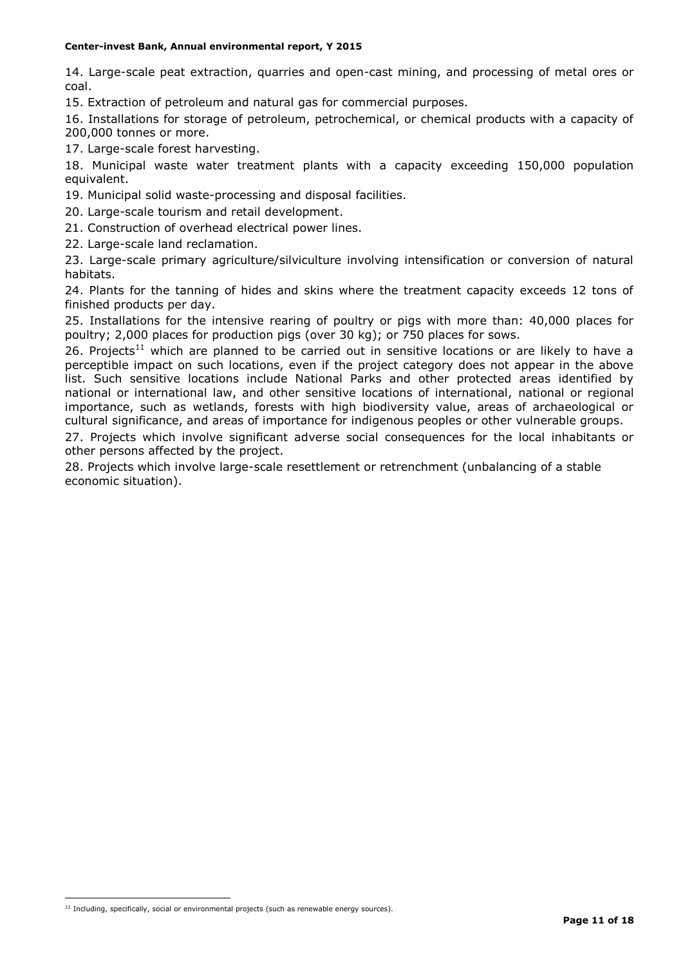14. Large-scale peat extraction, quarries and open-cast mining, and processing of metal ores or coal.

15. Extraction of petroleum and natural gas for commercial purposes.

16. Installations for storage of petroleum, petrochemical, or chemical products with a capacity of 200,000 tonnes or more.

17. Large-scale forest harvesting.

18. Municipal waste water treatment plants with a capacity exceeding 150,000 population equivalent.

19. Municipal solid waste-processing and disposal facilities.

- 20. Large-scale tourism and retail development.
- 21. Construction of overhead electrical power lines.
- 22. Large-scale land reclamation.

23. Large-scale primary agriculture/silviculture involving intensification or conversion of natural habitats.

24. Plants for the tanning of hides and skins where the treatment capacity exceeds 12 tons of finished products per day.

25. Installations for the intensive rearing of poultry or pigs with more than: 40,000 places for poultry; 2,000 places for production pigs (over 30 kg); or 750 places for sows.

26. Projects<sup>11</sup> which are planned to be carried out in sensitive locations or are likely to have a perceptible impact on such locations, even if the project category does not appear in the above list. Such sensitive locations include National Parks and other protected areas identified by national or international law, and other sensitive locations of international, national or regional importance, such as wetlands, forests with high biodiversity value, areas of archaeological or cultural significance, and areas of importance for indigenous peoples or other vulnerable groups.

27. Projects which involve significant adverse social consequences for the local inhabitants or other persons affected by the project.

28. Projects which involve large-scale resettlement or retrenchment (unbalancing of a stable economic situation).

1

 $11$  Including, specifically, social or environmental projects (such as renewable energy sources).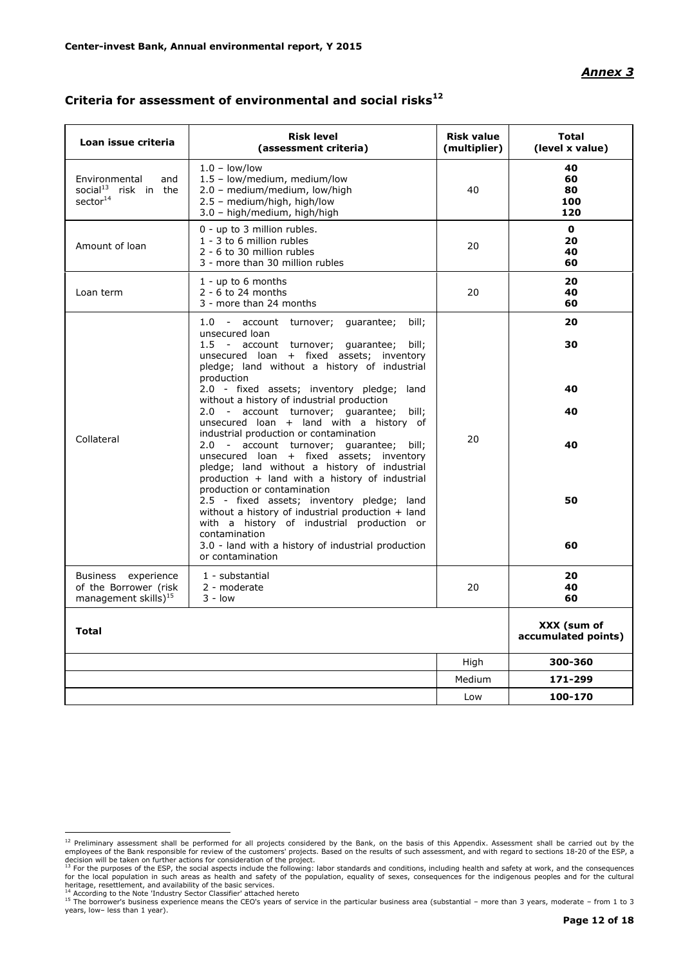#### *Annex 3*

| Loan issue criteria                                                              | <b>Risk level</b><br>(assessment criteria)                                                                                                                                                                                              | <b>Risk value</b><br>(multiplier) | <b>Total</b><br>(level x value)    |
|----------------------------------------------------------------------------------|-----------------------------------------------------------------------------------------------------------------------------------------------------------------------------------------------------------------------------------------|-----------------------------------|------------------------------------|
| Environmental<br>and<br>social <sup>13</sup> risk in the<br>sector <sup>14</sup> | $1.0 - low/low$<br>1.5 - low/medium, medium/low<br>2.0 - medium/medium, low/high<br>2.5 - medium/high, high/low<br>3.0 - high/medium, high/high                                                                                         | 40                                | 40<br>60<br>80<br>100<br>120       |
| Amount of loan                                                                   | 0 - up to 3 million rubles.<br>1 - 3 to 6 million rubles<br>2 - 6 to 30 million rubles<br>3 - more than 30 million rubles                                                                                                               | 20                                | $\mathbf{0}$<br>20<br>40<br>60     |
| Loan term                                                                        | $1 - up to 6 months$<br>$2 - 6$ to 24 months<br>3 - more than 24 months                                                                                                                                                                 | 20                                | 20<br>40<br>60                     |
|                                                                                  | 1.0 - account turnover; guarantee;<br>bill;<br>unsecured loan<br>1.5 - account turnover; guarantee;<br>bill;<br>unsecured loan + fixed assets; inventory<br>pledge; land without a history of industrial                                |                                   | 20<br>30                           |
|                                                                                  | production<br>2.0 - fixed assets; inventory pledge; land<br>without a history of industrial production<br>2.0 - account turnover; guarantee; bill;<br>unsecured loan + land with a history of<br>industrial production or contamination |                                   | 40<br>40                           |
| Collateral                                                                       | 2.0 - account turnover; guarantee; bill;<br>unsecured loan + fixed assets; inventory<br>pledge; land without a history of industrial<br>production + land with a history of industrial<br>production or contamination                   | 20                                | 40                                 |
|                                                                                  | 2.5 - fixed assets; inventory pledge; land<br>without a history of industrial production + land<br>with a history of industrial production or<br>contamination<br>3.0 - land with a history of industrial production                    |                                   | 50<br>60                           |
| Business experience<br>of the Borrower (risk<br>management skills $)^{15}$       | or contamination<br>1 - substantial<br>2 - moderate<br>$3 - low$                                                                                                                                                                        | 20                                | 20<br>40<br>60                     |
| <b>Total</b>                                                                     |                                                                                                                                                                                                                                         |                                   | XXX (sum of<br>accumulated points) |
|                                                                                  |                                                                                                                                                                                                                                         | High                              | 300-360                            |
|                                                                                  |                                                                                                                                                                                                                                         | Medium                            | 171-299                            |
|                                                                                  |                                                                                                                                                                                                                                         | Low                               | 100-170                            |

## **Criteria for assessment of environmental and social risks<sup>12</sup>**

<sup>&</sup>lt;sup>12</sup> Preliminary assessment shall be performed for all projects considered by the Bank, on the basis of this Appendix. Assessment shall be carried out by the employees of the Bank responsible for review of the customers' p

<sup>&</sup>lt;sup>14</sup> According to the Note 'Industry Sector Classifier' attached hereto<br><sup>15</sup> The borrower's business experience means the CEO's years of service in the particular business area (substantial – more than 3 years, moderate – years, low– less than 1 year).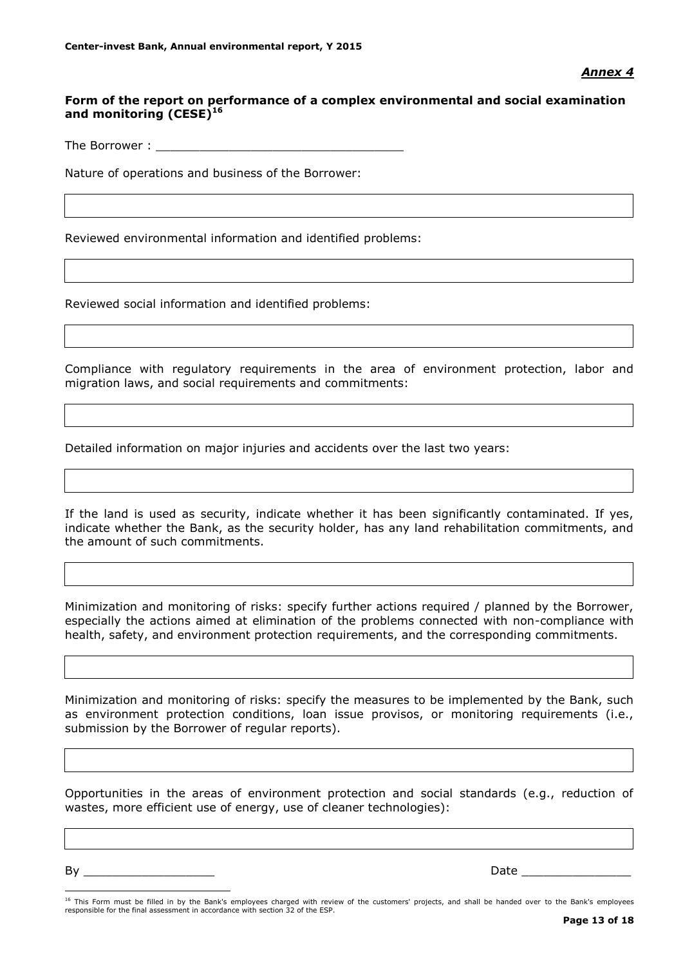### **Form of the report on performance of a complex environmental and social examination and monitoring (CESE)<sup>16</sup>**

The Borrower :

Nature of operations and business of the Borrower:

Reviewed environmental information and identified problems:

Reviewed social information and identified problems:

Compliance with regulatory requirements in the area of environment protection, labor and migration laws, and social requirements and commitments:

Detailed information on major injuries and accidents over the last two years:

If the land is used as security, indicate whether it has been significantly contaminated. If yes, indicate whether the Bank, as the security holder, has any land rehabilitation commitments, and the amount of such commitments.

Minimization and monitoring of risks: specify further actions required / planned by the Borrower, especially the actions aimed at elimination of the problems connected with non-compliance with health, safety, and environment protection requirements, and the corresponding commitments.

Minimization and monitoring of risks: specify the measures to be implemented by the Bank, such as environment protection conditions, loan issue provisos, or monitoring requirements (i.e., submission by the Borrower of regular reports).

Opportunities in the areas of environment protection and social standards (e.g., reduction of wastes, more efficient use of energy, use of cleaner technologies):

By \_\_\_\_\_\_\_\_\_\_\_\_\_\_\_\_\_\_ Date \_\_\_\_\_\_\_\_\_\_\_\_\_\_\_

<u>.</u>

<sup>&</sup>lt;sup>16</sup> This Form must be filled in by the Bank's employees charged with review of the customers' projects, and shall be handed over to the Bank's employees responsible for the final assessment in accordance with section 32 of the ESP.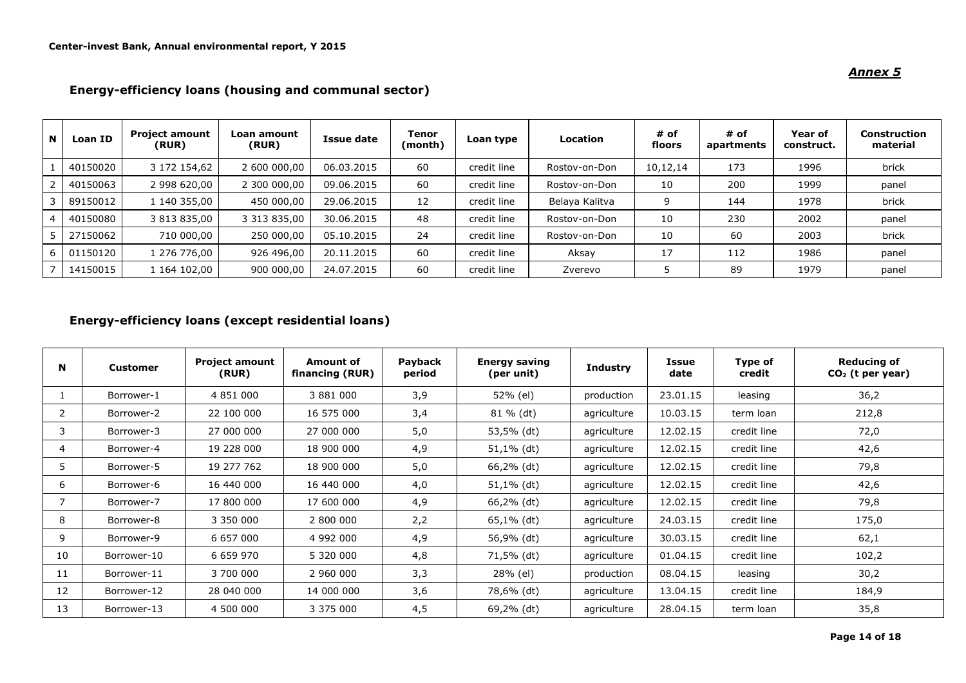#### **<sup>N</sup> Loan ID Project amount (RUR) Loan amount (RUR) Issue date Tenor (month) Loan type Location # of floors # of apartments Year of construct. Construction material** 1 | 40150020 | 3 172 154,62 | 2 600 000,00 | 06.03.2015 | 60 | credit line | Rostov-on-Don | 10,12,14 | 173 | 1996 | brick 2 | 40150063 | 2 998 620,00 | 2 300 000,00 | 09.06.2015 | 60 | credit line | Rostov-on-Don | 10 | 200 | 1999 | panel 3 89150012 1 140 355,00 450 000,00 29.06.2015 12 credit line Belaya Kalitva 9 144 1978 brick 4 40150080 3 813 835,00 3 313 835,00 30.06.2015 48 credit line Rostov-on-Don 10 230 2002 panel 5 27150062 710 000,00 250 000,00 05.10.2015 24 credit line Rostov-on-Don 10 60 2003 brick 6 | 01150120 | 1276 776,00 | 926 496,00 | 20.11.2015 | 60 | credit line | Aksay | 17 | 112 | 1986 | panel 7 | 14150015 | 1164 102,00 | 900 000,00 | 24.07.2015 | 60 | credit line | Zverevo | 5 | 89 | 1979 | panel

#### **Energy-efficiency loans (housing and communal sector)**

### **Energy-efficiency loans (except residential loans)**

| N            | <b>Customer</b> | <b>Project amount</b><br>(RUR) | Amount of<br>financing (RUR) | Payback<br>period | <b>Energy saving</b><br>(per unit) | <b>Industry</b> | Issue<br>date | Type of<br>credit | <b>Reducing of</b><br>$CO2$ (t per year) |
|--------------|-----------------|--------------------------------|------------------------------|-------------------|------------------------------------|-----------------|---------------|-------------------|------------------------------------------|
|              | Borrower-1      | 4 851 000                      | 3 881 000                    | 3,9               | 52% (el)                           | production      | 23.01.15      | leasing           | 36,2                                     |
| $\mathbf{2}$ | Borrower-2      | 22 100 000                     | 16 575 000                   | 3,4               | 81 % (dt)                          | agriculture     | 10.03.15      | term loan         | 212,8                                    |
| 3            | Borrower-3      | 27 000 000                     | 27 000 000                   | 5,0               | 53,5% (dt)                         | agriculture     | 12.02.15      | credit line       | 72,0                                     |
| 4            | Borrower-4      | 19 228 000                     | 18 900 000                   | 4,9               | 51,1% (dt)                         | agriculture     | 12.02.15      | credit line       | 42,6                                     |
| 5.           | Borrower-5      | 19 277 762                     | 18 900 000                   | 5,0               | 66,2% (dt)                         | agriculture     | 12.02.15      | credit line       | 79,8                                     |
| 6            | Borrower-6      | 16 440 000                     | 16 440 000                   | 4,0               | 51,1% (dt)                         | agriculture     | 12.02.15      | credit line       | 42,6                                     |
| 7            | Borrower-7      | 17 800 000                     | 17 600 000                   | 4,9               | 66,2% (dt)                         | agriculture     | 12.02.15      | credit line       | 79,8                                     |
| 8            | Borrower-8      | 3 350 000                      | 2 800 000                    | 2,2               | 65,1% (dt)                         | agriculture     | 24.03.15      | credit line       | 175,0                                    |
| 9            | Borrower-9      | 6 657 000                      | 4 992 000                    | 4,9               | 56,9% (dt)                         | agriculture     | 30.03.15      | credit line       | 62,1                                     |
| 10           | Borrower-10     | 6 659 970                      | 5 320 000                    | 4,8               | 71,5% (dt)                         | agriculture     | 01.04.15      | credit line       | 102,2                                    |
| 11           | Borrower-11     | 3 700 000                      | 2 960 000                    | 3,3               | 28% (el)                           | production      | 08.04.15      | leasing           | 30,2                                     |
| 12           | Borrower-12     | 28 040 000                     | 14 000 000                   | 3,6               | 78,6% (dt)                         | agriculture     | 13.04.15      | credit line       | 184,9                                    |
| 13           | Borrower-13     | 4 500 000                      | 3 375 000                    | 4,5               | 69,2% (dt)                         | agriculture     | 28.04.15      | term loan         | 35,8                                     |

#### *Annex 5*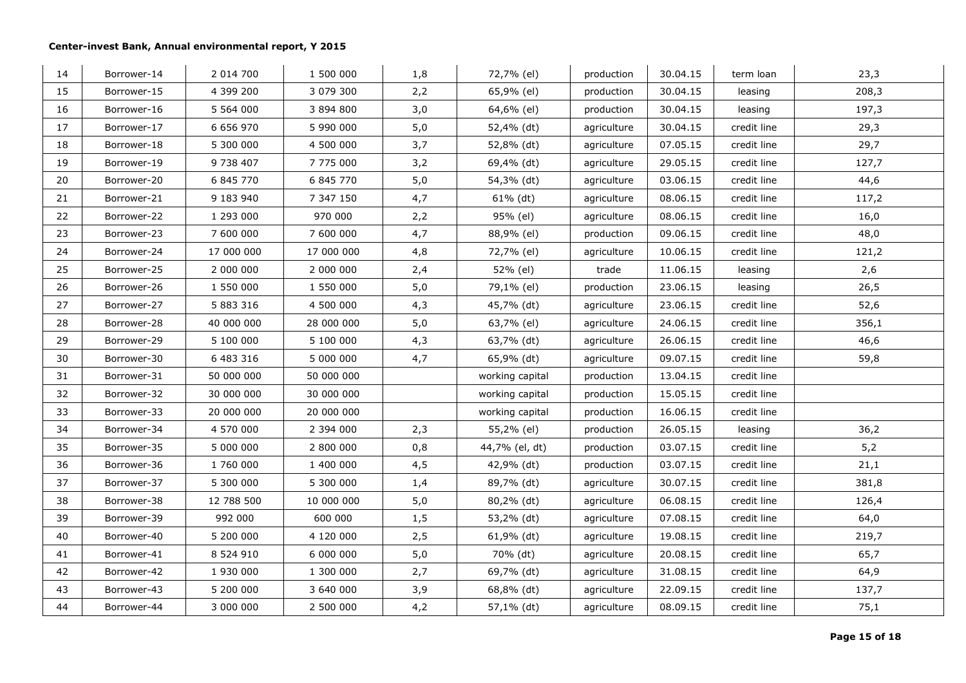| 14 | Borrower-14 | 2 014 700     | 1 500 000  | 1,8 | 72,7% (el)      | production  | 30.04.15 | term loan   | 23,3  |
|----|-------------|---------------|------------|-----|-----------------|-------------|----------|-------------|-------|
| 15 | Borrower-15 | 4 399 200     | 3 079 300  | 2,2 | 65,9% (el)      | production  | 30.04.15 | leasing     | 208,3 |
| 16 | Borrower-16 | 5 5 6 4 0 0 0 | 3 894 800  | 3,0 | 64,6% (el)      | production  | 30.04.15 | leasing     | 197,3 |
| 17 | Borrower-17 | 6 656 970     | 5 990 000  | 5,0 | 52,4% (dt)      | agriculture | 30.04.15 | credit line | 29,3  |
| 18 | Borrower-18 | 5 300 000     | 4 500 000  | 3,7 | 52,8% (dt)      | agriculture | 07.05.15 | credit line | 29,7  |
| 19 | Borrower-19 | 9 738 407     | 7 775 000  | 3,2 | 69,4% (dt)      | agriculture | 29.05.15 | credit line | 127,7 |
| 20 | Borrower-20 | 6 845 770     | 6 845 770  | 5,0 | 54,3% (dt)      | agriculture | 03.06.15 | credit line | 44,6  |
| 21 | Borrower-21 | 9 183 940     | 7 347 150  | 4,7 | 61% (dt)        | agriculture | 08.06.15 | credit line | 117,2 |
| 22 | Borrower-22 | 1 293 000     | 970 000    | 2,2 | 95% (el)        | agriculture | 08.06.15 | credit line | 16,0  |
| 23 | Borrower-23 | 7 600 000     | 7 600 000  | 4,7 | 88,9% (el)      | production  | 09.06.15 | credit line | 48,0  |
| 24 | Borrower-24 | 17 000 000    | 17 000 000 | 4,8 | 72,7% (el)      | agriculture | 10.06.15 | credit line | 121,2 |
| 25 | Borrower-25 | 2 000 000     | 2 000 000  | 2,4 | 52% (el)        | trade       | 11.06.15 | leasing     | 2,6   |
| 26 | Borrower-26 | 1 550 000     | 1 550 000  | 5,0 | 79,1% (el)      | production  | 23.06.15 | leasing     | 26,5  |
| 27 | Borrower-27 | 5 883 316     | 4 500 000  | 4,3 | 45,7% (dt)      | agriculture | 23.06.15 | credit line | 52,6  |
| 28 | Borrower-28 | 40 000 000    | 28 000 000 | 5,0 | 63,7% (el)      | agriculture | 24.06.15 | credit line | 356,1 |
| 29 | Borrower-29 | 5 100 000     | 5 100 000  | 4,3 | 63,7% (dt)      | agriculture | 26.06.15 | credit line | 46,6  |
| 30 | Borrower-30 | 6 483 316     | 5 000 000  | 4,7 | 65,9% (dt)      | agriculture | 09.07.15 | credit line | 59,8  |
| 31 | Borrower-31 | 50 000 000    | 50 000 000 |     | working capital | production  | 13.04.15 | credit line |       |
| 32 | Borrower-32 | 30 000 000    | 30 000 000 |     | working capital | production  | 15.05.15 | credit line |       |
| 33 | Borrower-33 | 20 000 000    | 20 000 000 |     | working capital | production  | 16.06.15 | credit line |       |
| 34 | Borrower-34 | 4 570 000     | 2 394 000  | 2,3 | 55,2% (el)      | production  | 26.05.15 | leasing     | 36,2  |
| 35 | Borrower-35 | 5 000 000     | 2 800 000  | 0,8 | 44,7% (el, dt)  | production  | 03.07.15 | credit line | 5,2   |
| 36 | Borrower-36 | 1 760 000     | 1 400 000  | 4,5 | 42,9% (dt)      | production  | 03.07.15 | credit line | 21,1  |
| 37 | Borrower-37 | 5 300 000     | 5 300 000  | 1,4 | 89,7% (dt)      | agriculture | 30.07.15 | credit line | 381,8 |
| 38 | Borrower-38 | 12 788 500    | 10 000 000 | 5,0 | 80,2% (dt)      | agriculture | 06.08.15 | credit line | 126,4 |
| 39 | Borrower-39 | 992 000       | 600 000    | 1,5 | 53,2% (dt)      | agriculture | 07.08.15 | credit line | 64,0  |
| 40 | Borrower-40 | 5 200 000     | 4 120 000  | 2,5 | 61,9% (dt)      | agriculture | 19.08.15 | credit line | 219,7 |
| 41 | Borrower-41 | 8 524 910     | 6 000 000  | 5,0 | 70% (dt)        | agriculture | 20.08.15 | credit line | 65,7  |
| 42 | Borrower-42 | 1 930 000     | 1 300 000  | 2,7 | 69,7% (dt)      | agriculture | 31.08.15 | credit line | 64,9  |
| 43 | Borrower-43 | 5 200 000     | 3 640 000  | 3,9 | 68,8% (dt)      | agriculture | 22.09.15 | credit line | 137,7 |
| 44 | Borrower-44 | 3 000 000     | 2 500 000  | 4,2 | 57,1% (dt)      | agriculture | 08.09.15 | credit line | 75,1  |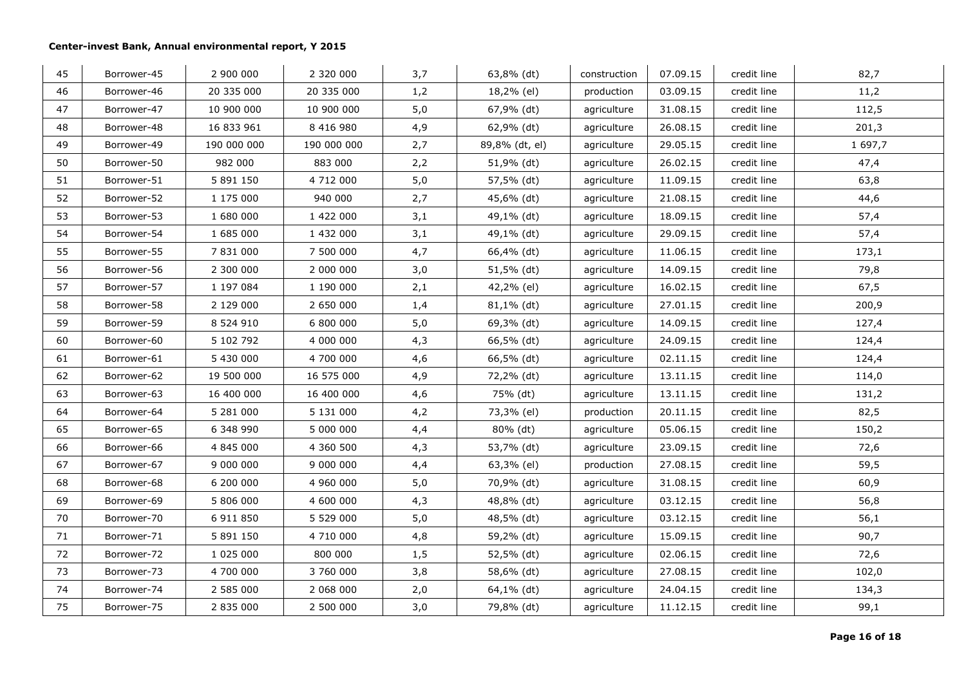| 45 | Borrower-45 | 2 900 000   | 2 320 000   | 3,7 | 63,8% (dt)     | construction | 07.09.15 | credit line | 82,7    |
|----|-------------|-------------|-------------|-----|----------------|--------------|----------|-------------|---------|
| 46 | Borrower-46 | 20 335 000  | 20 335 000  | 1,2 | 18,2% (el)     | production   | 03.09.15 | credit line | 11,2    |
| 47 | Borrower-47 | 10 900 000  | 10 900 000  | 5,0 | 67,9% (dt)     | agriculture  | 31.08.15 | credit line | 112,5   |
| 48 | Borrower-48 | 16 833 961  | 8 416 980   | 4,9 | 62,9% (dt)     | agriculture  | 26.08.15 | credit line | 201,3   |
| 49 | Borrower-49 | 190 000 000 | 190 000 000 | 2,7 | 89,8% (dt, el) | agriculture  | 29.05.15 | credit line | 1 697,7 |
| 50 | Borrower-50 | 982 000     | 883 000     | 2,2 | 51,9% (dt)     | agriculture  | 26.02.15 | credit line | 47,4    |
| 51 | Borrower-51 | 5 891 150   | 4 712 000   | 5,0 | 57,5% (dt)     | agriculture  | 11.09.15 | credit line | 63,8    |
| 52 | Borrower-52 | 1 175 000   | 940 000     | 2,7 | 45,6% (dt)     | agriculture  | 21.08.15 | credit line | 44,6    |
| 53 | Borrower-53 | 1 680 000   | 1 422 000   | 3,1 | 49,1% (dt)     | agriculture  | 18.09.15 | credit line | 57,4    |
| 54 | Borrower-54 | 1 685 000   | 1 432 000   | 3,1 | 49,1% (dt)     | agriculture  | 29.09.15 | credit line | 57,4    |
| 55 | Borrower-55 | 7 831 000   | 7 500 000   | 4,7 | 66,4% (dt)     | agriculture  | 11.06.15 | credit line | 173,1   |
| 56 | Borrower-56 | 2 300 000   | 2 000 000   | 3,0 | 51,5% (dt)     | agriculture  | 14.09.15 | credit line | 79,8    |
| 57 | Borrower-57 | 1 197 084   | 1 190 000   | 2,1 | 42,2% (el)     | agriculture  | 16.02.15 | credit line | 67,5    |
| 58 | Borrower-58 | 2 129 000   | 2 650 000   | 1,4 | 81,1% (dt)     | agriculture  | 27.01.15 | credit line | 200,9   |
| 59 | Borrower-59 | 8 5 24 9 10 | 6 800 000   | 5,0 | 69,3% (dt)     | agriculture  | 14.09.15 | credit line | 127,4   |
| 60 | Borrower-60 | 5 102 792   | 4 000 000   | 4,3 | 66,5% (dt)     | agriculture  | 24.09.15 | credit line | 124,4   |
| 61 | Borrower-61 | 5 430 000   | 4 700 000   | 4,6 | 66,5% (dt)     | agriculture  | 02.11.15 | credit line | 124,4   |
| 62 | Borrower-62 | 19 500 000  | 16 575 000  | 4,9 | 72,2% (dt)     | agriculture  | 13.11.15 | credit line | 114,0   |
| 63 | Borrower-63 | 16 400 000  | 16 400 000  | 4,6 | 75% (dt)       | agriculture  | 13.11.15 | credit line | 131,2   |
| 64 | Borrower-64 | 5 281 000   | 5 131 000   | 4,2 | 73,3% (el)     | production   | 20.11.15 | credit line | 82,5    |
| 65 | Borrower-65 | 6 348 990   | 5 000 000   | 4,4 | 80% (dt)       | agriculture  | 05.06.15 | credit line | 150,2   |
| 66 | Borrower-66 | 4 845 000   | 4 360 500   | 4,3 | 53,7% (dt)     | agriculture  | 23.09.15 | credit line | 72,6    |
| 67 | Borrower-67 | 9 000 000   | 9 000 000   | 4,4 | 63,3% (el)     | production   | 27.08.15 | credit line | 59,5    |
| 68 | Borrower-68 | 6 200 000   | 4 960 000   | 5,0 | 70,9% (dt)     | agriculture  | 31.08.15 | credit line | 60,9    |
| 69 | Borrower-69 | 5 806 000   | 4 600 000   | 4,3 | 48,8% (dt)     | agriculture  | 03.12.15 | credit line | 56,8    |
| 70 | Borrower-70 | 6 911 850   | 5 529 000   | 5,0 | 48,5% (dt)     | agriculture  | 03.12.15 | credit line | 56,1    |
| 71 | Borrower-71 | 5 891 150   | 4 710 000   | 4,8 | 59,2% (dt)     | agriculture  | 15.09.15 | credit line | 90,7    |
| 72 | Borrower-72 | 1 025 000   | 800 000     | 1,5 | 52,5% (dt)     | agriculture  | 02.06.15 | credit line | 72,6    |
| 73 | Borrower-73 | 4 700 000   | 3 760 000   | 3,8 | 58,6% (dt)     | agriculture  | 27.08.15 | credit line | 102,0   |
| 74 | Borrower-74 | 2 585 000   | 2 068 000   | 2,0 | 64,1% (dt)     | agriculture  | 24.04.15 | credit line | 134,3   |
| 75 | Borrower-75 | 2 835 000   | 2 500 000   | 3,0 | 79,8% (dt)     | agriculture  | 11.12.15 | credit line | 99,1    |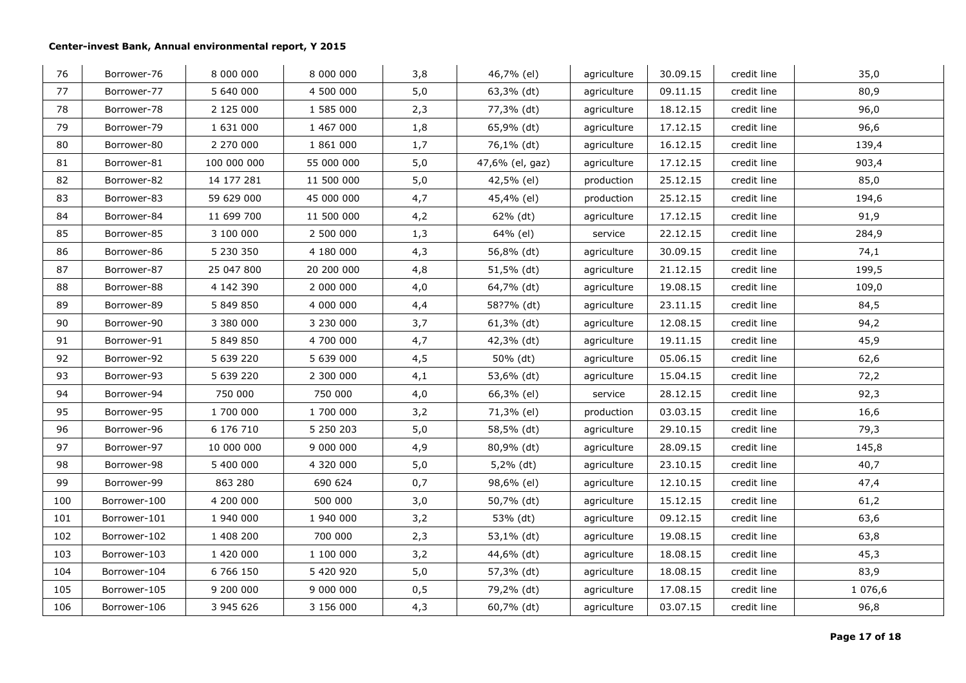| 76  | Borrower-76  | 8 000 000   | 8 000 000  | 3,8 | 46,7% (el)      | agriculture | 30.09.15 | credit line | 35,0       |
|-----|--------------|-------------|------------|-----|-----------------|-------------|----------|-------------|------------|
| 77  | Borrower-77  | 5 640 000   | 4 500 000  | 5,0 | 63,3% (dt)      | agriculture | 09.11.15 | credit line | 80,9       |
| 78  | Borrower-78  | 2 125 000   | 1 585 000  | 2,3 | 77,3% (dt)      | agriculture | 18.12.15 | credit line | 96,0       |
| 79  | Borrower-79  | 1 631 000   | 1 467 000  | 1,8 | 65,9% (dt)      | agriculture | 17.12.15 | credit line | 96,6       |
| 80  | Borrower-80  | 2 270 000   | 1 861 000  | 1,7 | 76,1% (dt)      | agriculture | 16.12.15 | credit line | 139,4      |
| 81  | Borrower-81  | 100 000 000 | 55 000 000 | 5,0 | 47,6% (el, gaz) | agriculture | 17.12.15 | credit line | 903,4      |
| 82  | Borrower-82  | 14 177 281  | 11 500 000 | 5,0 | 42,5% (el)      | production  | 25.12.15 | credit line | 85,0       |
| 83  | Borrower-83  | 59 629 000  | 45 000 000 | 4,7 | 45,4% (el)      | production  | 25.12.15 | credit line | 194,6      |
| 84  | Borrower-84  | 11 699 700  | 11 500 000 | 4,2 | 62% (dt)        | agriculture | 17.12.15 | credit line | 91,9       |
| 85  | Borrower-85  | 3 100 000   | 2 500 000  | 1,3 | 64% (el)        | service     | 22.12.15 | credit line | 284,9      |
| 86  | Borrower-86  | 5 230 350   | 4 180 000  | 4,3 | 56,8% (dt)      | agriculture | 30.09.15 | credit line | 74,1       |
| 87  | Borrower-87  | 25 047 800  | 20 200 000 | 4,8 | 51,5% (dt)      | agriculture | 21.12.15 | credit line | 199,5      |
| 88  | Borrower-88  | 4 142 390   | 2 000 000  | 4,0 | 64,7% (dt)      | agriculture | 19.08.15 | credit line | 109,0      |
| 89  | Borrower-89  | 5 849 850   | 4 000 000  | 4,4 | 58?7% (dt)      | agriculture | 23.11.15 | credit line | 84,5       |
| 90  | Borrower-90  | 3 380 000   | 3 230 000  | 3,7 | 61,3% (dt)      | agriculture | 12.08.15 | credit line | 94,2       |
| 91  | Borrower-91  | 5 849 850   | 4 700 000  | 4,7 | 42,3% (dt)      | agriculture | 19.11.15 | credit line | 45,9       |
| 92  | Borrower-92  | 5 639 220   | 5 639 000  | 4,5 | 50% (dt)        | agriculture | 05.06.15 | credit line | 62,6       |
| 93  | Borrower-93  | 5 639 220   | 2 300 000  | 4,1 | 53,6% (dt)      | agriculture | 15.04.15 | credit line | 72,2       |
| 94  | Borrower-94  | 750 000     | 750 000    | 4,0 | 66,3% (el)      | service     | 28.12.15 | credit line | 92,3       |
| 95  | Borrower-95  | 1 700 000   | 1 700 000  | 3,2 | 71,3% (el)      | production  | 03.03.15 | credit line | 16,6       |
| 96  | Borrower-96  | 6 176 710   | 5 250 203  | 5,0 | 58,5% (dt)      | agriculture | 29.10.15 | credit line | 79,3       |
| 97  | Borrower-97  | 10 000 000  | 9 000 000  | 4,9 | 80,9% (dt)      | agriculture | 28.09.15 | credit line | 145,8      |
| 98  | Borrower-98  | 5 400 000   | 4 320 000  | 5,0 | 5,2% (dt)       | agriculture | 23.10.15 | credit line | 40,7       |
| 99  | Borrower-99  | 863 280     | 690 624    | 0,7 | 98,6% (el)      | agriculture | 12.10.15 | credit line | 47,4       |
| 100 | Borrower-100 | 4 200 000   | 500 000    | 3,0 | 50,7% (dt)      | agriculture | 15.12.15 | credit line | 61,2       |
| 101 | Borrower-101 | 1 940 000   | 1 940 000  | 3,2 | 53% (dt)        | agriculture | 09.12.15 | credit line | 63,6       |
| 102 | Borrower-102 | 1 408 200   | 700 000    | 2,3 | 53,1% (dt)      | agriculture | 19.08.15 | credit line | 63,8       |
| 103 | Borrower-103 | 1 420 000   | 1 100 000  | 3,2 | 44,6% (dt)      | agriculture | 18.08.15 | credit line | 45,3       |
| 104 | Borrower-104 | 6 7 6 1 5 0 | 5 420 920  | 5,0 | 57,3% (dt)      | agriculture | 18.08.15 | credit line | 83,9       |
| 105 | Borrower-105 | 9 200 000   | 9 000 000  | 0,5 | 79,2% (dt)      | agriculture | 17.08.15 | credit line | 1 0 7 6, 6 |
| 106 | Borrower-106 | 3 945 626   | 3 156 000  | 4,3 | 60,7% (dt)      | agriculture | 03.07.15 | credit line | 96,8       |